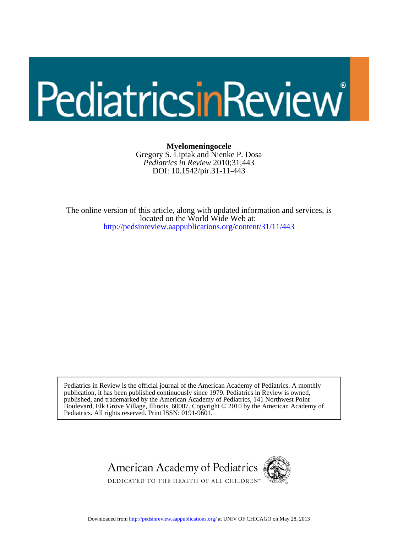# PediatricsinReview

DOI: 10.1542/pir.31-11-443 *Pediatrics in Review* 2010;31;443 Gregory S. Liptak and Nienke P. Dosa **Myelomeningocele**

<http://pedsinreview.aappublications.org/content/31/11/443> located on the World Wide Web at: The online version of this article, along with updated information and services, is

Pediatrics. All rights reserved. Print ISSN: 0191-9601. Boulevard, Elk Grove Village, Illinois, 60007. Copyright © 2010 by the American Academy of published, and trademarked by the American Academy of Pediatrics, 141 Northwest Point publication, it has been published continuously since 1979. Pediatrics in Review is owned, Pediatrics in Review is the official journal of the American Academy of Pediatrics. A monthly

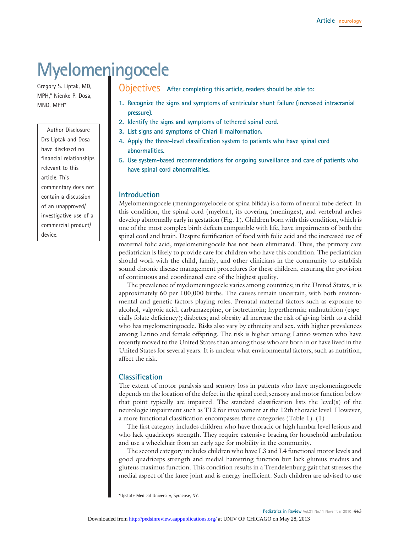# **Myelomeningocele**

Gregory S. Liptak, MD, MPH,\* Nienke P. Dosa, MND, MPH\*

Author Disclosure Drs Liptak and Dosa have disclosed no financial relationships relevant to this article. This commentary does not contain a discussion of an unapproved/ investigative use of a commercial product/ device.

## Objectives **After completing this article, readers should be able to:**

- **1. Recognize the signs and symptoms of ventricular shunt failure (increased intracranial pressure).**
- **2. Identify the signs and symptoms of tethered spinal cord.**
- **3. List signs and symptoms of Chiari II malformation.**
- **4. Apply the three-level classification system to patients who have spinal cord abnormalities.**
- **5. Use system-based recommendations for ongoing surveillance and care of patients who have spinal cord abnormalities.**

#### **Introduction**

Myelomeningocele (meningomyelocele or spina bifida) is a form of neural tube defect. In this condition, the spinal cord (myelon), its covering (meninges), and vertebral arches develop abnormally early in gestation (Fig. 1). Children born with this condition, which is one of the most complex birth defects compatible with life, have impairments of both the spinal cord and brain. Despite fortification of food with folic acid and the increased use of maternal folic acid, myelomeningocele has not been eliminated. Thus, the primary care pediatrician is likely to provide care for children who have this condition. The pediatrician should work with the child, family, and other clinicians in the community to establish sound chronic disease management procedures for these children, ensuring the provision of continuous and coordinated care of the highest quality.

The prevalence of myelomeningocele varies among countries; in the United States, it is approximately 60 per 100,000 births. The causes remain uncertain, with both environmental and genetic factors playing roles. Prenatal maternal factors such as exposure to alcohol, valproic acid, carbamazepine, or isotretinoin; hyperthermia; malnutrition (especially folate deficiency); diabetes; and obesity all increase the risk of giving birth to a child who has myelomeningocele. Risks also vary by ethnicity and sex, with higher prevalences among Latino and female offspring. The risk is higher among Latino women who have recently moved to the United States than among those who are born in or have lived in the United States for several years. It is unclear what environmental factors, such as nutrition, affect the risk.

#### **Classification**

The extent of motor paralysis and sensory loss in patients who have myelomeningocele depends on the location of the defect in the spinal cord; sensory and motor function below that point typically are impaired. The standard classification lists the level(s) of the neurologic impairment such as T12 for involvement at the 12th thoracic level. However, a more functional classification encompasses three categories (Table 1). (1)

The first category includes children who have thoracic or high lumbar level lesions and who lack quadriceps strength. They require extensive bracing for household ambulation and use a wheelchair from an early age for mobility in the community.

The second category includes children who have L3 and L4 functional motor levels and good quadriceps strength and medial hamstring function but lack gluteus medius and gluteus maximus function. This condition results in a Trendelenburg gait that stresses the medial aspect of the knee joint and is energy-inefficient. Such children are advised to use

<sup>\*</sup>Upstate Medical University, Syracuse, NY.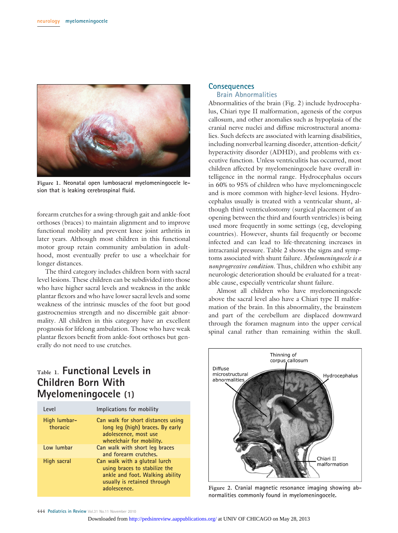

**Figure 1. Neonatal open lumbosacral myelomeningocele lesion that is leaking cerebrospinal fluid.**

forearm crutches for a swing-through gait and ankle-foot orthoses (braces) to maintain alignment and to improve functional mobility and prevent knee joint arthritis in later years. Although most children in this functional motor group retain community ambulation in adulthood, most eventually prefer to use a wheelchair for longer distances.

The third category includes children born with sacral level lesions. These children can be subdivided into those who have higher sacral levels and weakness in the ankle plantar flexors and who have lower sacral levels and some weakness of the intrinsic muscles of the foot but good gastrocnemius strength and no discernible gait abnormality. All children in this category have an excellent prognosis for lifelong ambulation. Those who have weak plantar flexors benefit from ankle-foot orthoses but generally do not need to use crutches.

#### **Consequences Brain Abnormalities**

Abnormalities of the brain (Fig. 2) include hydrocephalus, Chiari type II malformation, agenesis of the corpus callosum, and other anomalies such as hypoplasia of the cranial nerve nuclei and diffuse microstructural anomalies. Such defects are associated with learning disabilities, including nonverbal learning disorder, attention-deficit/ hyperactivity disorder (ADHD), and problems with executive function. Unless ventriculitis has occurred, most children affected by myelomeningocele have overall intelligence in the normal range. Hydrocephalus occurs in 60% to 95% of children who have myelomeningocele and is more common with higher-level lesions. Hydrocephalus usually is treated with a ventricular shunt, although third ventriculostomy (surgical placement of an opening between the third and fourth ventricles) is being used more frequently in some settings (eg, developing countries). However, shunts fail frequently or become infected and can lead to life-threatening increases in intracranial pressure. Table 2 shows the signs and symptoms associated with shunt failure. *Myelomeningocele is a nonprogressive condition.* Thus, children who exhibit any neurologic deterioration should be evaluated for a treatable cause, especially ventricular shunt failure.

Almost all children who have myelomeningocele above the sacral level also have a Chiari type II malformation of the brain. In this abnormality, the brainstem and part of the cerebellum are displaced downward through the foramen magnum into the upper cervical spinal canal rather than remaining within the skull.

# **Table 1. Functional Levels in Children Born With Myelomeningocele (1)**

| I evel                   | Implications for mobility                                                                                                                        |
|--------------------------|--------------------------------------------------------------------------------------------------------------------------------------------------|
| High lumbar-<br>thoracic | Can walk for short distances using<br>long leg (high) braces. By early<br>adolescence, most use<br>wheelchair for mobility.                      |
| Low lumbar               | Can walk with short leg braces<br>and forearm crutches.                                                                                          |
| High sacral              | Can walk with a gluteal lurch<br>using braces to stabilize the<br>ankle and foot. Walking ability<br>usually is retained through<br>adolescence. |



**Figure 2. Cranial magnetic resonance imaging showing abnormalities commonly found in myelomeningocele.**

444 **Pediatrics in Review** Vol.31 No.11 November 2010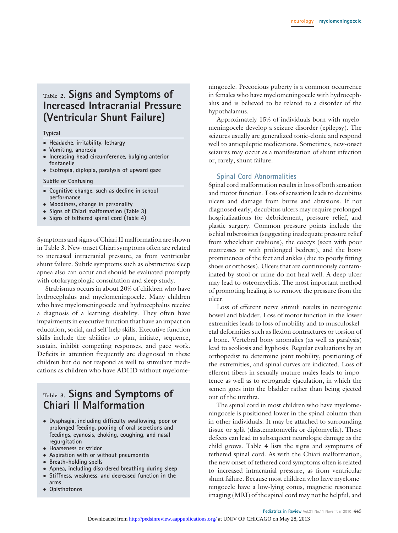# **Table 2. Signs and Symptoms of Increased Intracranial Pressure (Ventricular Shunt Failure)**

#### **Typical**

- **Headache, irritability, lethargy**
- **Vomiting, anorexia**
- **Increasing head circumference, bulging anterior fontanelle**
- **Esotropia, diplopia, paralysis of upward gaze**

**Subtle or Confusing**

- **Cognitive change, such as decline in school performance**
- **Moodiness, change in personality**
- **Signs of Chiari malformation (Table 3)**
- **Signs of tethered spinal cord (Table 4)**

Symptoms and signs of Chiari II malformation are shown in Table 3. New-onset Chiari symptoms often are related to increased intracranial pressure, as from ventricular shunt failure. Subtle symptoms such as obstructive sleep apnea also can occur and should be evaluated promptly with otolaryngologic consultation and sleep study.

Strabismus occurs in about 20% of children who have hydrocephalus and myelomeningocele. Many children who have myelomeningocele and hydrocephalus receive a diagnosis of a learning disability. They often have impairments in executive function that have an impact on education, social, and self-help skills. Executive function skills include the abilities to plan, initiate, sequence, sustain, inhibit competing responses, and pace work. Deficits in attention frequently are diagnosed in these children but do not respond as well to stimulant medications as children who have ADHD without myelome-

# **Table 3. Signs and Symptoms of Chiari II Malformation**

- **Dysphagia, including difficulty swallowing, poor or prolonged feeding, pooling of oral secretions and feedings, cyanosis, choking, coughing, and nasal regurgitation**
- **Hoarseness or stridor**
- **Aspiration with or without pneumonitis**
- **Breath-holding spells**
- Apnea, including disordered breathing during sleep
- **Stiffness, weakness, and decreased function in the arms**
- **Opisthotonos**

ningocele. Precocious puberty is a common occurrence in females who have myelomeningocele with hydrocephalus and is believed to be related to a disorder of the hypothalamus.

Approximately 15% of individuals born with myelomeningocele develop a seizure disorder (epilepsy). The seizures usually are generalized tonic-clonic and respond well to antiepileptic medications. Sometimes, new-onset seizures may occur as a manifestation of shunt infection or, rarely, shunt failure.

#### **Spinal Cord Abnormalities**

Spinal cord malformation results in loss of both sensation and motor function. Loss of sensation leads to decubitus ulcers and damage from burns and abrasions. If not diagnosed early, decubitus ulcers may require prolonged hospitalizations for debridement, pressure relief, and plastic surgery. Common pressure points include the ischial tuberosities (suggesting inadequate pressure relief from wheelchair cushions), the coccyx (seen with poor mattresses or with prolonged bedrest), and the bony prominences of the feet and ankles (due to poorly fitting shoes or orthoses). Ulcers that are continuously contaminated by stool or urine do not heal well. A deep ulcer may lead to osteomyelitis. The most important method of promoting healing is to remove the pressure from the ulcer.

Loss of efferent nerve stimuli results in neurogenic bowel and bladder. Loss of motor function in the lower extremities leads to loss of mobility and to musculoskeletal deformities such as flexion contractures or torsion of a bone. Vertebral bony anomalies (as well as paralysis) lead to scoliosis and kyphosis. Regular evaluations by an orthopedist to determine joint mobility, positioning of the extremities, and spinal curves are indicated. Loss of efferent fibers in sexually mature males leads to impotence as well as to retrograde ejaculation, in which the semen goes into the bladder rather than being ejected out of the urethra.

The spinal cord in most children who have myelomeningocele is positioned lower in the spinal column than in other individuals. It may be attached to surrounding tissue or split (diastematomyelia or diplomyelia). These defects can lead to subsequent neurologic damage as the child grows. Table 4 lists the signs and symptoms of tethered spinal cord. As with the Chiari malformation, the new onset of tethered cord symptoms often is related to increased intracranial pressure, as from ventricular shunt failure. Because most children who have myelomeningocele have a low-lying conus, magnetic resonance imaging (MRI) of the spinal cord may not be helpful, and

Pediatrics in Review Vol.31 No.11 November 2010 445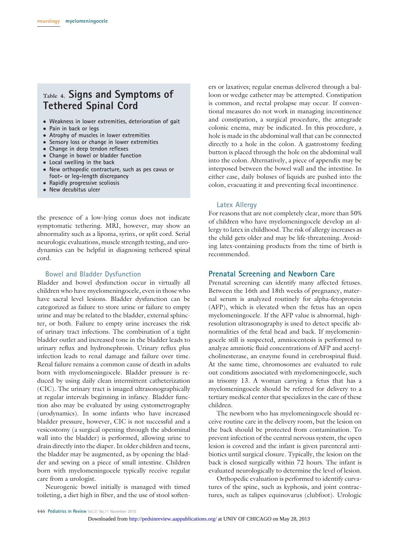# **Table 4. Signs and Symptoms of Tethered Spinal Cord**

- **Weakness in lower extremities, deterioration of gait**
- **Pain in back or legs**
- **Atrophy of muscles in lower extremities**
- **Sensory loss or change in lower extremities**
- **Change in deep tendon reflexes**
- **Change in bowel or bladder function**
- **Local swelling in the back**
- **New orthopedic contracture, such as pes cavus or foot- or leg-length discrepancy**
- **Rapidly progressive scoliosis**
- **New decubitus ulcer**

the presence of a low-lying conus does not indicate symptomatic tethering. MRI, however, may show an abnormality such as a lipoma, syrinx, or split cord. Serial neurologic evaluations, muscle strength testing, and urodynamics can be helpful in diagnosing tethered spinal cord.

#### **Bowel and Bladder Dysfunction**

Bladder and bowel dysfunction occur in virtually all children who have myelomeningocele, even in those who have sacral level lesions. Bladder dysfunction can be categorized as failure to store urine or failure to empty urine and may be related to the bladder, external sphincter, or both. Failure to empty urine increases the risk of urinary tract infections. The combination of a tight bladder outlet and increased tone in the bladder leads to urinary reflux and hydronephrosis. Urinary reflux plus infection leads to renal damage and failure over time. Renal failure remains a common cause of death in adults born with myelomeningocele. Bladder pressure is reduced by using daily clean intermittent catheterization (CIC). The urinary tract is imaged ultrasonographically at regular intervals beginning in infancy. Bladder function also may be evaluated by using cystometrography (urodynamics). In some infants who have increased bladder pressure, however, CIC is not successful and a vesicostomy (a surgical opening through the abdominal wall into the bladder) is performed, allowing urine to drain directly into the diaper. In older children and teens, the bladder may be augmented, as by opening the bladder and sewing on a piece of small intestine. Children born with myelomeningocele typically receive regular care from a urologist.

Neurogenic bowel initially is managed with timed toileting, a diet high in fiber, and the use of stool softeners or laxatives; regular enemas delivered through a balloon or wedge catheter may be attempted. Constipation is common, and rectal prolapse may occur. If conventional measures do not work in managing incontinence and constipation, a surgical procedure, the antegrade colonic enema, may be indicated. In this procedure, a hole is made in the abdominal wall that can be connected directly to a hole in the colon. A gastrostomy feeding button is placed through the hole on the abdominal wall into the colon. Alternatively, a piece of appendix may be interposed between the bowel wall and the intestine. In either case, daily boluses of liquids are pushed into the colon, evacuating it and preventing fecal incontinence.

#### **Latex Allergy**

For reasons that are not completely clear, more than 50% of children who have myelomeningocele develop an allergy to latex in childhood. The risk of allergy increases as the child gets older and may be life-threatening. Avoiding latex-containing products from the time of birth is recommended.

#### **Prenatal Screening and Newborn Care**

Prenatal screening can identify many affected fetuses. Between the 16th and 18th weeks of pregnancy, maternal serum is analyzed routinely for alpha-fetoprotein (AFP), which is elevated when the fetus has an open myelomeningocele. If the AFP value is abnormal, highresolution ultrasonography is used to detect specific abnormalities of the fetal head and back. If myelomeningocele still is suspected, amniocentesis is performed to analyze amniotic fluid concentrations of AFP and acetylcholinesterase, an enzyme found in cerebrospinal fluid. At the same time, chromosomes are evaluated to rule out conditions associated with myelomeningocele, such as trisomy 13. A woman carrying a fetus that has a myelomeningocele should be referred for delivery to a tertiary medical center that specializes in the care of these children.

The newborn who has myelomeningocele should receive routine care in the delivery room, but the lesion on the back should be protected from contamination. To prevent infection of the central nervous system, the open lesion is covered and the infant is given parenteral antibiotics until surgical closure. Typically, the lesion on the back is closed surgically within 72 hours. The infant is evaluated neurologically to determine the level of lesion.

Orthopedic evaluation is performed to identify curvatures of the spine, such as kyphosis, and joint contractures, such as talipes equinovarus (clubfoot). Urologic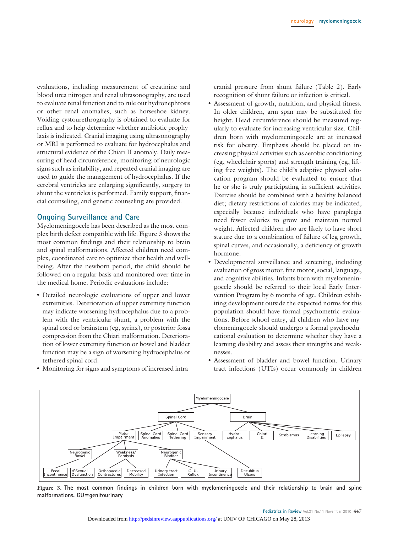evaluations, including measurement of creatinine and blood urea nitrogen and renal ultrasonography, are used to evaluate renal function and to rule out hydronephrosis or other renal anomalies, such as horseshoe kidney. Voiding cystourethrography is obtained to evaluate for reflux and to help determine whether antibiotic prophylaxis is indicated. Cranial imaging using ultrasonography or MRI is performed to evaluate for hydrocephalus and structural evidence of the Chiari II anomaly. Daily measuring of head circumference, monitoring of neurologic signs such as irritability, and repeated cranial imaging are used to guide the management of hydrocephalus. If the cerebral ventricles are enlarging significantly, surgery to shunt the ventricles is performed. Family support, financial counseling, and genetic counseling are provided.

#### **Ongoing Surveillance and Care**

Myelomeningocele has been described as the most complex birth defect compatible with life. Figure 3 shows the most common findings and their relationship to brain and spinal malformations. Affected children need complex, coordinated care to optimize their health and wellbeing. After the newborn period, the child should be followed on a regular basis and monitored over time in the medical home. Periodic evaluations include:

- Detailed neurologic evaluations of upper and lower extremities. Deterioration of upper extremity function may indicate worsening hydrocephalus due to a problem with the ventricular shunt, a problem with the spinal cord or brainstem (eg, syrinx), or posterior fossa compression from the Chiari malformation. Deterioration of lower extremity function or bowel and bladder function may be a sign of worsening hydrocephalus or tethered spinal cord.
- Monitoring for signs and symptoms of increased intra-

cranial pressure from shunt failure (Table 2). Early recognition of shunt failure or infection is critical.

- Assessment of growth, nutrition, and physical fitness. In older children, arm span may be substituted for height. Head circumference should be measured regularly to evaluate for increasing ventricular size. Children born with myelomeningocele are at increased risk for obesity. Emphasis should be placed on increasing physical activities such as aerobic conditioning (eg, wheelchair sports) and strength training (eg, lifting free weights). The child's adaptive physical education program should be evaluated to ensure that he or she is truly participating in sufficient activities. Exercise should be combined with a healthy balanced diet; dietary restrictions of calories may be indicated, especially because individuals who have paraplegia need fewer calories to grow and maintain normal weight. Affected children also are likely to have short stature due to a combination of failure of leg growth, spinal curves, and occasionally, a deficiency of growth hormone.
- Developmental surveillance and screening, including evaluation of gross motor, fine motor, social, language, and cognitive abilities. Infants born with myelomeningocele should be referred to their local Early Intervention Program by 6 months of age. Children exhibiting development outside the expected norms for this population should have formal psychometric evaluations. Before school entry, all children who have myelomeningocele should undergo a formal psychoeducational evaluation to determine whether they have a learning disability and assess their strengths and weaknesses.
- Assessment of bladder and bowel function. Urinary tract infections (UTIs) occur commonly in children

Pediatrics in Review Vol.31 No.11 November 2010 447



**Figure 3. The most common findings in children born with myelomeningocele and their relationship to brain and spine malformations. GUgenitourinary**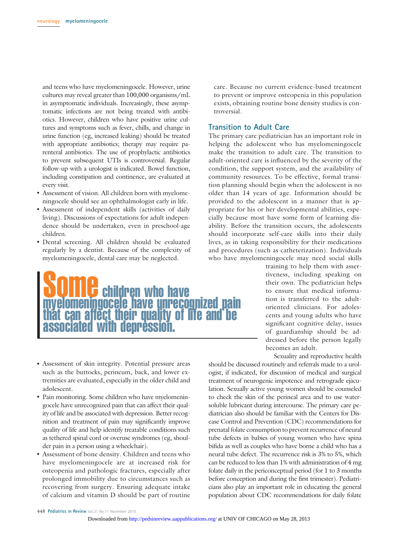and teens who have myelomeningocele. However, urine cultures may reveal greater than 100,000 organisms/mL in asymptomatic individuals. Increasingly, these asymptomatic infections are not being treated with antibiotics. However, children who have positive urine cultures and symptoms such as fever, chills, and change in urine function (eg, increased leaking) should be treated with appropriate antibiotics; therapy may require parenteral antibiotics. The use of prophylactic antibiotics to prevent subsequent UTIs is controversial. Regular follow-up with a urologist is indicated. Bowel function, including constipation and continence, are evaluated at every visit.

- Assessment of vision. All children born with myelomeningocele should see an ophthalmologist early in life.
- Assessment of independent skills (activities of daily living). Discussions of expectations for adult independence should be undertaken, even in preschool-age children.
- Dental screening. All children should be evaluated regularly by a dentist. Because of the complexity of myelomeningocele, dental care may be neglected.

# dren who have<br>Je have unrecognized pain<br>heir quality of life and be<br>depression.

- Assessment of skin integrity. Potential pressure areas such as the buttocks, perineum, back, and lower extremities are evaluated, especially in the older child and adolescent.
- Pain monitoring. Some children who have myelomeningocele have unrecognized pain that can affect their quality of life and be associated with depression. Better recognition and treatment of pain may significantly improve quality of life and help identify treatable conditions such as tethered spinal cord or overuse syndromes (eg, shoulder pain in a person using a wheelchair).
- Assessment of bone density. Children and teens who have myelomeningocele are at increased risk for osteopenia and pathologic fractures, especially after prolonged immobility due to circumstances such as recovering from surgery. Ensuring adequate intake of calcium and vitamin D should be part of routine

care. Because no current evidence-based treatment to prevent or improve osteopenia in this population exists, obtaining routine bone density studies is controversial.

#### **Transition to Adult Care**

The primary care pediatrician has an important role in helping the adolescent who has myelomeningocele make the transition to adult care. The transition to adult-oriented care is influenced by the severity of the condition, the support system, and the availability of community resources. To be effective, formal transition planning should begin when the adolescent is no older than 14 years of age. Information should be provided to the adolescent in a manner that is appropriate for his or her developmental abilities, especially because most have some form of learning disability. Before the transition occurs, the adolescents should incorporate self-care skills into their daily lives, as in taking responsibility for their medications and procedures (such as catheterization). Individuals who have myelomeningocele may need social skills

> training to help them with assertiveness, including speaking on their own. The pediatrician helps to ensure that medical information is transferred to the adultoriented clinicians. For adolescents and young adults who have significant cognitive delay, issues of guardianship should be addressed before the person legally becomes an adult.

Sexuality and reproductive health

should be discussed routinely and referrals made to a urologist, if indicated, for discussion of medical and surgical treatment of neurogenic impotence and retrograde ejaculation. Sexually active young women should be counseled to check the skin of the perineal area and to use watersoluble lubricant during intercourse. The primary care pediatrician also should be familiar with the Centers for Disease Control and Prevention (CDC) recommendations for prenatal folate consumption to prevent recurrence of neural tube defects in babies of young women who have spina bifida as well as couples who have borne a child who has a neural tube defect. The recurrence risk is 3% to 5%, which can be reduced to less than 1% with administration of 4 mg folate daily in the periconceptual period (for 1 to 3 months before conception and during the first trimester). Pediatricians also play an important role in educating the general population about CDC recommendations for daily folate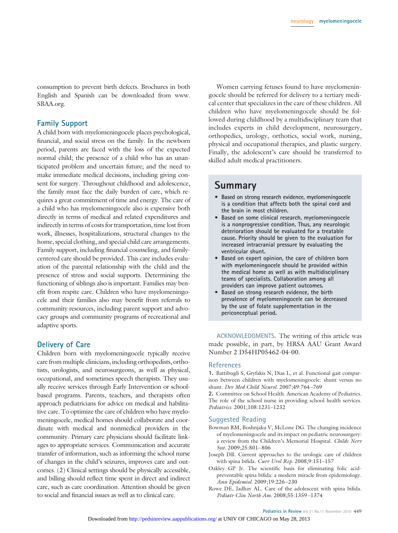consumption to prevent birth defects. Brochures in both English and Spanish can be downloaded from www. SBAA.org.

#### **Family Support**

A child born with myelomeningocele places psychological, financial, and social stress on the family. In the newborn period, parents are faced with the loss of the expected normal child; the presence of a child who has an unanticipated problem and uncertain future; and the need to make immediate medical decisions, including giving consent for surgery. Throughout childhood and adolescence, the family must face the daily burden of care, which requires a great commitment of time and energy. The care of a child who has myelomeningocele also is expensive both directly in terms of medical and related expenditures and indirectly in terms of costs for transportation, time lost from work, illnesses, hospitalizations, structural changes to the home, special clothing, and special child care arrangements. Family support, including financial counseling, and familycentered care should be provided. This care includes evaluation of the parental relationship with the child and the presence of stress and social supports. Determining the functioning of siblings also is important. Families may benefit from respite care. Children who have myelomeningocele and their families also may benefit from referrals to community resources, including parent support and advocacy groups and community programs of recreational and adaptive sports.

#### **Delivery of Care**

Children born with myelomeningocele typically receive care from multiple clinicians, including orthopedists, orthotists, urologists, and neurosurgeons, as well as physical, occupational, and sometimes speech therapists. They usually receive services through Early Intervention or schoolbased programs. Parents, teachers, and therapists often approach pediatricians for advice on medical and habilitative care. To optimize the care of children who have myelomeningocele, medical homes should collaborate and coordinate with medical and nonmedical providers in the community. Primary care physicians should facilitate linkages to appropriate services. Communication and accurate transfer of information, such as informing the school nurse of changes in the child's seizures, improves care and outcomes. (2) Clinical settings should be physically accessible, and billing should reflect time spent in direct and indirect care, such as care coordination. Attention should be given to social and financial issues as well as to clinical care.

Women carrying fetuses found to have myelomeningocele should be referred for delivery to a tertiary medical center that specializes in the care of these children. All children who have myelomeningocele should be followed during childhood by a multidisciplinary team that includes experts in child development, neurosurgery, orthopedics, urology, orthotics, social work, nursing, physical and occupational therapies, and plastic surgery. Finally, the adolescent's care should be transferred to skilled adult medical practitioners.

### **Summary**

- **Based on strong research evidence, myelomeningocele is a condition that affects both the spinal cord and the brain in most children.**
- **Based on some clinical research, myelomeningocele is a nonprogressive condition. Thus, any neurologic deterioration should be evaluated for a treatable cause. Priority should be given to the evaluation for increased intracranial pressure by evaluating the ventricular shunt.**
- **Based on expert opinion, the care of children born with myelomeningocele should be provided within the medical home as well as with multidisciplinary teams of specialists. Collaboration among all providers can improve patient outcomes.**
- **Based on strong research evidence, the birth prevalence of myelomeningocele can be decreased by the use of folate supplementation in the periconceptual period.**

**ACKNOWLEDGMENTS.** The writing of this article was made possible, in part, by HRSA AAU Grant Award Number 2 D54HP05462-04-00.

#### **References**

**1.** Battibugli S, Gryfakis N, Dias L, et al. Functional gait comparison between children with myelomeningocele: shunt versus no shunt. *Dev Med Child Neurol.* 2007;49:764 –769

**2.** Committee on School Health. American Academy of Pediatrics. The role of the school nurse in providing school health services. *Pediatrics.* 2001;108:1231–1232

#### **Suggested Reading**

- Bowman RM, Boshnjaku V, McLone DG. The changing incidence of myelomeningocele and its impact on pediatric neurosurgery: a review from the Children's Memorial Hospital. *Childs Nerv Syst.* 2009;25:801– 806
- Joseph DB. Current approaches to the urologic care of children with spina bifida. *Curr Urol Rep.* 2008;9:151–157
- Oakley GP Jr. The scientific basis for eliminating folic acidpreventable spina bifida: a modern miracle from epidemiology. *Ann Epidemiol.* 2009;19:226 –230
- Rowe DE, Jadhav AL. Care of the adolescent with spina bifida. *Pediatr Clin North Am.* 2008;55:1359 –1374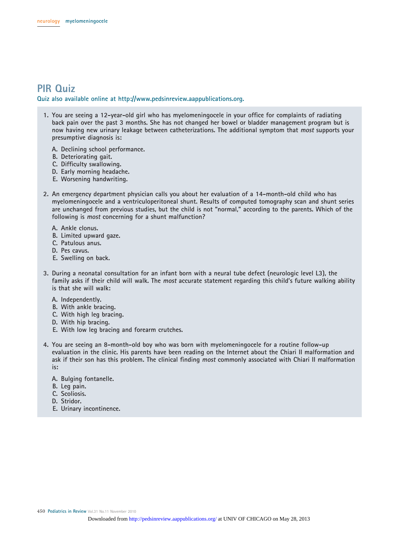# **PIR Quiz**

**Quiz also available online at http://www.pedsinreview.aappublications.org.**

- **1. You are seeing a 12-year-old girl who has myelomeningocele in your office for complaints of radiating back pain over the past 3 months. She has not changed her bowel or bladder management program but is now having new urinary leakage between catheterizations. The additional symptom that most supports your presumptive diagnosis is:**
	- **A. Declining school performance.**
	- **B. Deteriorating gait.**
	- **C. Difficulty swallowing.**
	- **D. Early morning headache.**
	- **E. Worsening handwriting.**
- **2. An emergency department physician calls you about her evaluation of a 14-month-old child who has myelomeningocele and a ventriculoperitoneal shunt. Results of computed tomography scan and shunt series are unchanged from previous studies, but the child is not "normal," according to the parents. Which of the following is most concerning for a shunt malfunction?**
	- **A. Ankle clonus.**
	- **B. Limited upward gaze.**
	- **C. Patulous anus.**
	- **D. Pes cavus.**
	- **E. Swelling on back.**
- **3. During a neonatal consultation for an infant born with a neural tube defect (neurologic level L3), the family asks if their child will walk. The most accurate statement regarding this child's future walking ability is that she will walk:**
	- **A. Independently.**
	- **B. With ankle bracing.**
	- **C. With high leg bracing.**
	- **D. With hip bracing.**
	- **E. With low leg bracing and forearm crutches.**
- **4. You are seeing an 8-month-old boy who was born with myelomeningocele for a routine follow-up evaluation in the clinic. His parents have been reading on the Internet about the Chiari II malformation and ask if their son has this problem. The clinical finding most commonly associated with Chiari II malformation is:**
	- **A. Bulging fontanelle.**
	- **B. Leg pain.**
	- **C. Scoliosis.**
	- **D. Stridor.**
	- **E. Urinary incontinence.**